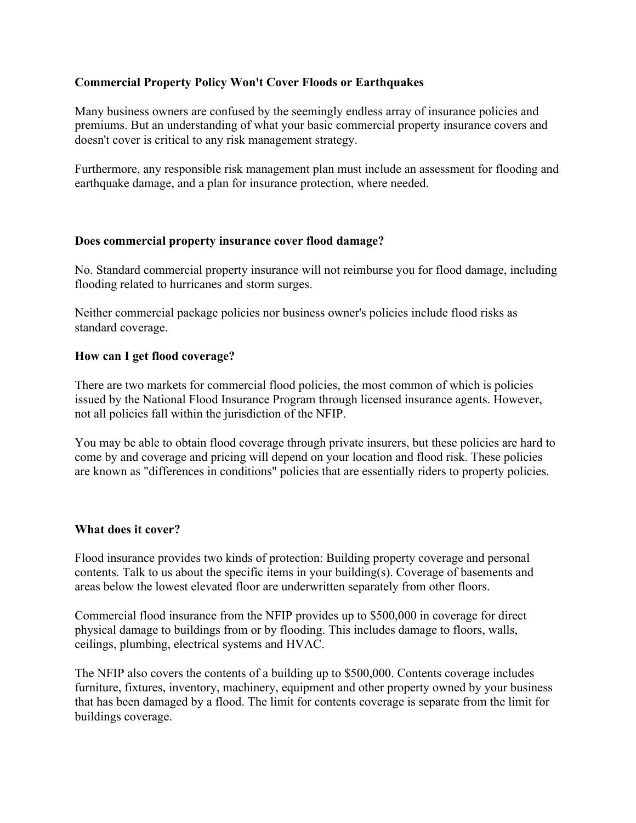## **Commercial Property Policy Won't Cover Floods or Earthquakes**

Many business owners are confused by the seemingly endless array of insurance policies and premiums. But an understanding of what your basic commercial property insurance covers and doesn't cover is critical to any risk management strategy.

Furthermore, any responsible risk management plan must include an assessment for flooding and earthquake damage, and a plan for insurance protection, where needed.

## **Does commercial property insurance cover flood damage?**

No. Standard commercial property insurance will not reimburse you for flood damage, including flooding related to hurricanes and storm surges.

Neither commercial package policies nor business owner's policies include flood risks as standard coverage.

## **How can I get flood coverage?**

There are two markets for commercial flood policies, the most common of which is policies issued by the National Flood Insurance Program through licensed insurance agents. However, not all policies fall within the jurisdiction of the NFIP.

You may be able to obtain flood coverage through private insurers, but these policies are hard to come by and coverage and pricing will depend on your location and flood risk. These policies are known as "differences in conditions" policies that are essentially riders to property policies.

## **What does it cover?**

Flood insurance provides two kinds of protection: Building property coverage and personal contents. Talk to us about the specific items in your building(s). Coverage of basements and areas below the lowest elevated floor are underwritten separately from other floors.

Commercial flood insurance from the NFIP provides up to \$500,000 in coverage for direct physical damage to buildings from or by flooding. This includes damage to floors, walls, ceilings, plumbing, electrical systems and HVAC.

The NFIP also covers the contents of a building up to \$500,000. Contents coverage includes furniture, fixtures, inventory, machinery, equipment and other property owned by your business that has been damaged by a flood. The limit for contents coverage is separate from the limit for buildings coverage.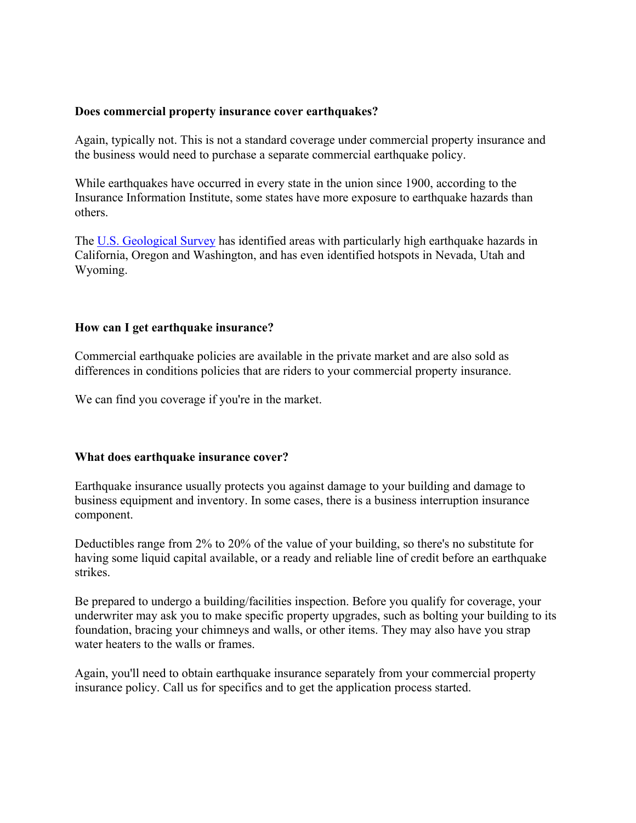## **Does commercial property insurance cover earthquakes?**

Again, typically not. This is not a standard coverage under commercial property insurance and the business would need to purchase a separate commercial earthquake policy.

While earthquakes have occurred in every state in the union since 1900, according to the Insurance Information Institute, some states have more exposure to earthquake hazards than others.

The U.S. Geological Survey has identified areas with particularly high earthquake hazards in California, Oregon and Washington, and has even identified hotspots in Nevada, Utah and Wyoming.

## **How can I get earthquake insurance?**

Commercial earthquake policies are available in the private market and are also sold as differences in conditions policies that are riders to your commercial property insurance.

We can find you coverage if you're in the market.

## **What does earthquake insurance cover?**

Earthquake insurance usually protects you against damage to your building and damage to business equipment and inventory. In some cases, there is a business interruption insurance component.

Deductibles range from 2% to 20% of the value of your building, so there's no substitute for having some liquid capital available, or a ready and reliable line of credit before an earthquake strikes.

Be prepared to undergo a building/facilities inspection. Before you qualify for coverage, your underwriter may ask you to make specific property upgrades, such as bolting your building to its foundation, bracing your chimneys and walls, or other items. They may also have you strap water heaters to the walls or frames.

Again, you'll need to obtain earthquake insurance separately from your commercial property insurance policy. Call us for specifics and to get the application process started.